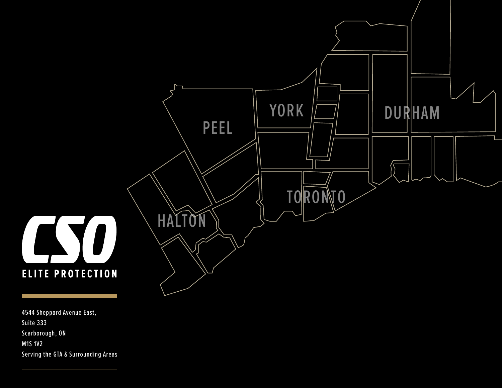

4544 Sheppard Avenue East, Suite 333 Scarborough, ON M1S 1V2 Serving the GTA & Surrounding Areas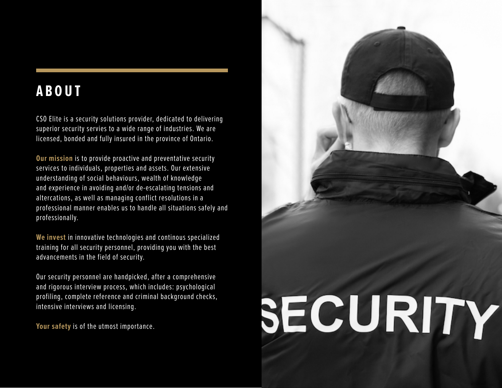### **ABOUT**

CSO Elite is a security solutions provider, dedicated to delivering superior security servies to a wide range of industries. We are licensed, bonded and fully insured in the province of Ontario.

**Our mission** is to provide proactive and preventative security services to individuals, properties and assets. Our extensive understanding of social behaviours, wealth of knowledge and experience in avoiding and/or de-escalating tensions and altercations, as well as managing conflict resolutions in a professional manner enables us to handle all situations safely and professionally.

**We invest** in innovative technologies and continous specialized training for all security personnel, providing you with the best advancements in the field of security.

Our security personnel are handpicked, after a comprehensive and rigorous interview process, which includes: psychological profiling, complete reference and criminal background checks, intensive interviews and licensing.

**Your safety** is of the utmost importance.

# SECURITY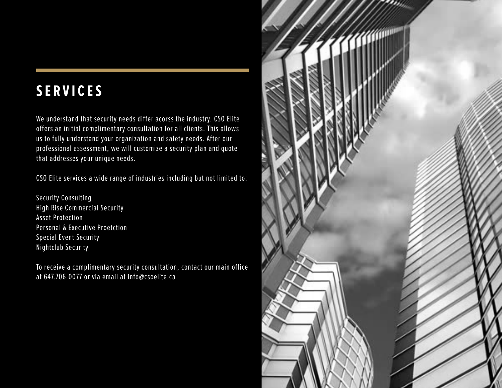## **SERVICES**

We understand that security needs differ acorss the industry. CSO Elite offers an initial complimentary consultation for all clients. This allows us to fully understand your organization and safety needs. After our professional assessment, we will customize a security plan and quote that addresses your unique needs.

CSO Elite services a wide range of industries including but not limited to:

Security Consulting High Rise Commercial Security Asset Protection Personal & Executive Proetction Special Event Security Nightclub Security

To receive a complimentary security consultation, contact our main office at 647.706.0077 or via email at info@csoelite.ca

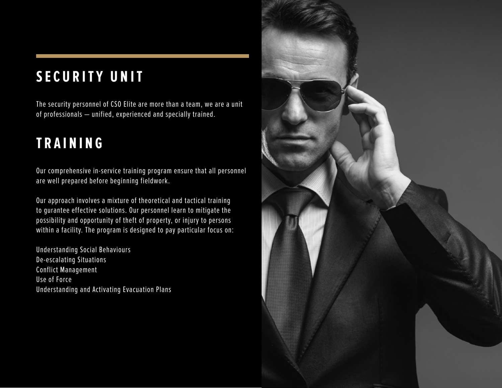# **SECURITY UNIT**

The security personnel of CSO Elite are more than a team, we are a unit of professionals — unified, experienced and specially trained.

# **TRAINING**

Our comprehensive in-service training program ensure that all personnel are well prepared before beginning fieldwork.

Our approach involves a mixture of theoretical and tactical training to gurantee effective solutions. Our personnel learn to mitigate the possibility and opportunity of theft of property, or injury to persons within a facility. The program is designed to pay particular focus on:

Understanding Social Behaviours De-escalating Situations Conflict Management Use of Force Understanding and Activating Evacuation Plans

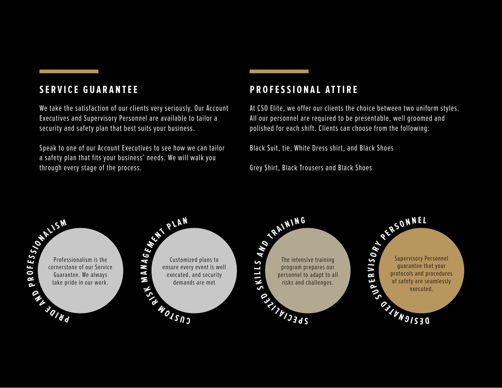#### **SERVICE GUARANTEE**

We take the satisfaction of our clients very seriously. Our Account Executives and Supervisory Personnel are available to tailor a security and safety plan that best suits your business.

Speak to one of our Account Executives to see how we can tailor a safety plan that fits your business' needs. We will walk you through every stage of the process.

#### **PROFESSIONAL ATTIRE**

At CSO Elite, we offer our clients the choice between two uniform styles. All our personnel are required to be presentable, well groomed and polished for each shift. Clients can choose from the following:

Black Suit, tie, White Dress shirt, and Black Shoes

Grey Shirt, Black Trousers and Black Shoes